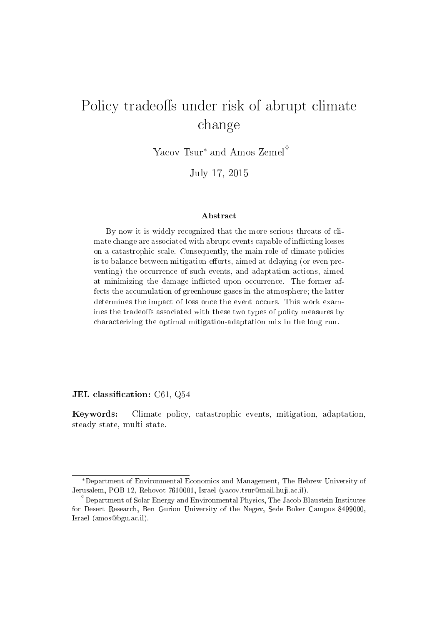# Policy tradeoffs under risk of abrupt climate change

Yacov Tsur*<sup>∗</sup>* and Amos Zemel*♢*

July 17, 2015

#### Abstract

By now it is widely recognized that the more serious threats of climate change are associated with abrupt events capable of inflicting losses on a catastrophic scale. Consequently, the main role of climate policies is to balance between mitigation efforts, aimed at delaying (or even preventing) the occurrence of such events, and adaptation actions, aimed at minimizing the damage inflicted upon occurrence. The former affects the accumulation of greenhouse gases in the atmosphere; the latter determines the impact of loss once the event occurs. This work examines the tradeoffs associated with these two types of policy measures by characterizing the optimal mitigation-adaptation mix in the long run.

#### JEL classification:  $C61, Q54$

Keywords: Climate policy, catastrophic events, mitigation, adaptation, steady state, multi state.

*<sup>∗</sup>*Department of Environmental Economics and Management, The Hebrew University of Jerusalem, POB 12, Rehovot 7610001, Israel (yacov.tsur@mail.huji.ac.il).

*<sup>♢</sup>* Department of Solar Energy and Environmental Physics, The Jacob Blaustein Institutes for Desert Research, Ben Gurion University of the Negev, Sede Boker Campus 8499000, Israel (amos@bgu.ac.il).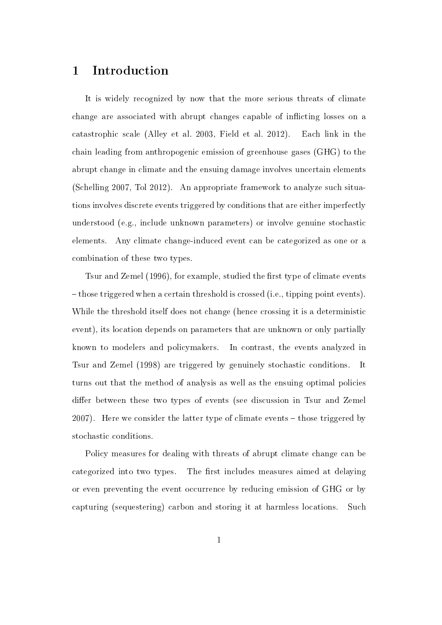### 1 Introduction

It is widely recognized by now that the more serious threats of climate change are associated with abrupt changes capable of inflicting losses on a catastrophic scale (Alley et al. 2003, Field et al. 2012). Each link in the chain leading from anthropogenic emission of greenhouse gases (GHG) to the abrupt change in climate and the ensuing damage involves uncertain elements (Schelling 2007, Tol 2012). An appropriate framework to analyze such situations involves discrete events triggered by conditions that are either imperfectly understood (e.g., include unknown parameters) or involve genuine stochastic elements. Any climate change-induced event can be categorized as one or a combination of these two types.

Tsur and Zemel (1996), for example, studied the first type of climate events those triggered when a certain threshold is crossed (i.e., tipping point events). While the threshold itself does not change (hence crossing it is a deterministic event), its location depends on parameters that are unknown or only partially known to modelers and policymakers. In contrast, the events analyzed in Tsur and Zemel (1998) are triggered by genuinely stochastic conditions. It turns out that the method of analysis as well as the ensuing optimal policies differ between these two types of events (see discussion in Tsur and Zemel 2007). Here we consider the latter type of climate events  $-$  those triggered by stochastic conditions.

Policy measures for dealing with threats of abrupt climate change can be categorized into two types. The first includes measures aimed at delaying or even preventing the event occurrence by reducing emission of GHG or by capturing (sequestering) carbon and storing it at harmless locations. Such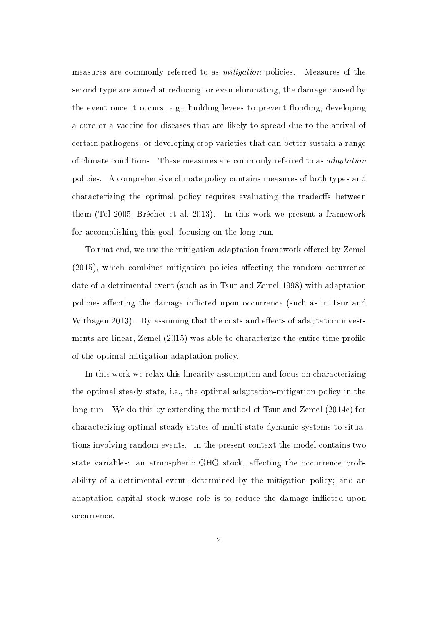measures are commonly referred to as mitigation policies. Measures of the second type are aimed at reducing, or even eliminating, the damage caused by the event once it occurs, e.g., building levees to prevent flooding, developing a cure or a vaccine for diseases that are likely to spread due to the arrival of certain pathogens, or developing crop varieties that can better sustain a range of climate conditions. These measures are commonly referred to as adaptation policies. A comprehensive climate policy contains measures of both types and characterizing the optimal policy requires evaluating the tradeoffs between them (Tol 2005, Bréchet et al. 2013). In this work we present a framework for accomplishing this goal, focusing on the long run.

To that end, we use the mitigation-adaptation framework offered by Zemel  $(2015)$ , which combines mitigation policies affecting the random occurrence date of a detrimental event (such as in Tsur and Zemel 1998) with adaptation policies affecting the damage inflicted upon occurrence (such as in Tsur and Withagen 2013). By assuming that the costs and effects of adaptation investments are linear, Zemel (2015) was able to characterize the entire time profile of the optimal mitigation-adaptation policy.

In this work we relax this linearity assumption and focus on characterizing the optimal steady state, i.e., the optimal adaptation-mitigation policy in the long run. We do this by extending the method of Tsur and Zemel (2014c) for characterizing optimal steady states of multi-state dynamic systems to situations involving random events. In the present context the model contains two state variables: an atmospheric GHG stock, affecting the occurrence probability of a detrimental event, determined by the mitigation policy; and an adaptation capital stock whose role is to reduce the damage inflicted upon occurrence.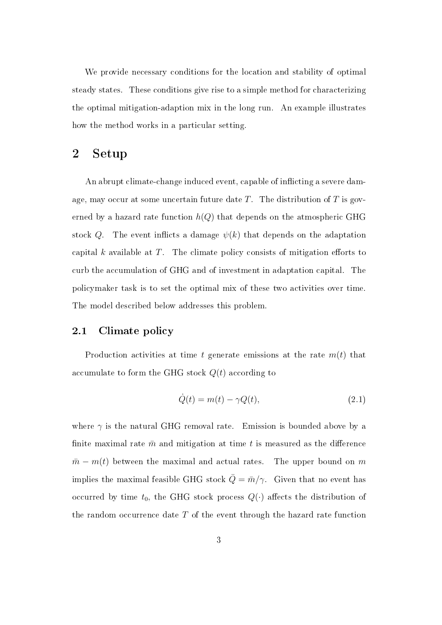We provide necessary conditions for the location and stability of optimal steady states. These conditions give rise to a simple method for characterizing the optimal mitigation-adaption mix in the long run. An example illustrates how the method works in a particular setting.

### 2 Setup

An abrupt climate-change induced event, capable of inflicting a severe damage, may occur at some uncertain future date *T*. The distribution of *T* is governed by a hazard rate function *h*(*Q*) that depends on the atmospheric GHG stock Q. The event inflicts a damage  $\psi(k)$  that depends on the adaptation capital  $k$  available at  $T$ . The climate policy consists of mitigation efforts to curb the accumulation of GHG and of investment in adaptation capital. The policymaker task is to set the optimal mix of these two activities over time. The model described below addresses this problem.

### 2.1 Climate policy

Production activities at time *t* generate emissions at the rate *m*(*t*) that accumulate to form the GHG stock *Q*(*t*) according to

$$
\dot{Q}(t) = m(t) - \gamma Q(t),\tag{2.1}
$$

where  $\gamma$  is the natural GHG removal rate. Emission is bounded above by a finite maximal rate  $\bar{m}$  and mitigation at time t is measured as the difference  $\bar{m} - m(t)$  between the maximal and actual rates. The upper bound on *m* implies the maximal feasible GHG stock  $\overline{Q} = \overline{m}/\gamma$ . Given that no event has occurred by time  $t_0$ , the GHG stock process  $Q(\cdot)$  affects the distribution of the random occurrence date *T* of the event through the hazard rate function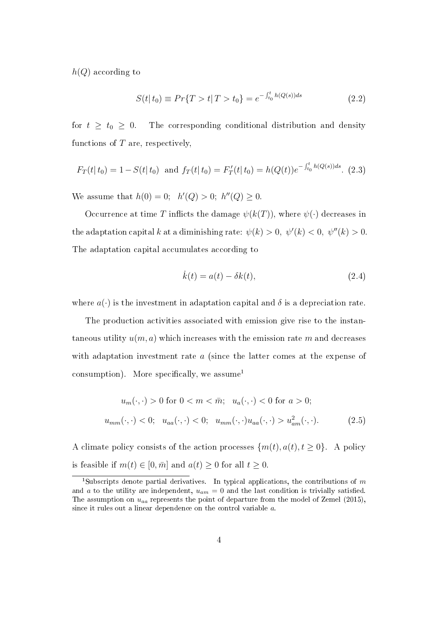*h*(*Q*) according to

$$
S(t|t_0) \equiv Pr\{T > t | T > t_0\} = e^{-\int_{t_0}^t h(Q(s))ds}
$$
\n(2.2)

for  $t \geq t_0 \geq 0$ . The corresponding conditional distribution and density functions of *T* are, respectively,

$$
F_T(t|t_0) = 1 - S(t|t_0)
$$
 and  $f_T(t|t_0) = F'_T(t|t_0) = h(Q(t))e^{-\int_{t_0}^t h(Q(s))ds}$ . (2.3)

We assume that  $h(0) = 0$ ;  $h'(Q) > 0$ ;  $h''(Q) \geq 0$ .

Occurrence at time *T* inflicts the damage  $\psi(k(T))$ , where  $\psi(\cdot)$  decreases in the adaptation capital *k* at a diminishing rate:  $\psi(k) > 0, \ \psi'(k) < 0, \ \psi''(k) > 0.$ The adaptation capital accumulates according to

$$
\dot{k}(t) = a(t) - \delta k(t),\tag{2.4}
$$

where  $a(\cdot)$  is the investment in adaptation capital and  $\delta$  is a depreciation rate.

The production activities associated with emission give rise to the instantaneous utility  $u(m, a)$  which increases with the emission rate  $m$  and decreases with adaptation investment rate *a* (since the latter comes at the expense of consumption). More specifically, we assume<sup>1</sup>

$$
u_m(\cdot, \cdot) > 0 \text{ for } 0 < m < \overline{m}; \quad u_a(\cdot, \cdot) < 0 \text{ for } a > 0;
$$
\n
$$
u_{mm}(\cdot, \cdot) < 0; \quad u_{aa}(\cdot, \cdot) < 0; \quad u_{mm}(\cdot, \cdot)u_{aa}(\cdot, \cdot) > u_{am}^2(\cdot, \cdot). \tag{2.5}
$$

A climate policy consists of the action processes  $\{m(t), a(t), t \geq 0\}$ . A policy is feasible if  $m(t) \in [0, \bar{m}]$  and  $a(t) \geq 0$  for all  $t \geq 0$ .

<sup>1</sup>Subscripts denote partial derivatives. In typical applications, the contributions of *m* and *a* to the utility are independent,  $u_{am} = 0$  and the last condition is trivially satisfied. The assumption on *uaa* represents the point of departure from the model of Zemel (2015), since it rules out a linear dependence on the control variable *a*.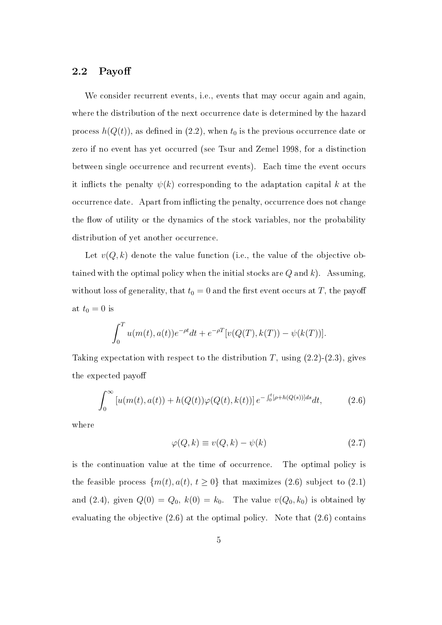### 2.2 Payo

We consider recurrent events, i.e., events that may occur again and again, where the distribution of the next occurrence date is determined by the hazard process  $h(Q(t))$ , as defined in (2.2), when  $t_0$  is the previous occurrence date or zero if no event has yet occurred (see Tsur and Zemel 1998, for a distinction between single occurrence and recurrent events). Each time the event occurs it inflicts the penalty  $\psi(k)$  corresponding to the adaptation capital k at the occurrence date. Apart from inflicting the penalty, occurrence does not change the flow of utility or the dynamics of the stock variables, nor the probability distribution of yet another occurrence.

Let  $v(Q, k)$  denote the value function (i.e., the value of the objective obtained with the optimal policy when the initial stocks are *Q* and *k*). Assuming, without loss of generality, that  $t_0 = 0$  and the first event occurs at *T*, the payoff at  $t_0 = 0$  is

$$
\int_0^T u(m(t), a(t))e^{-\rho t}dt + e^{-\rho T}[v(Q(T), k(T)) - \psi(k(T))].
$$

Taking expectation with respect to the distribution  $T$ , using  $(2.2)$ - $(2.3)$ , gives the expected payo

$$
\int_0^\infty \left[ u(m(t), a(t)) + h(Q(t)) \varphi(Q(t), k(t)) \right] e^{-\int_0^t [\rho + h(Q(s))]ds} dt, \tag{2.6}
$$

where

$$
\varphi(Q,k) \equiv v(Q,k) - \psi(k) \tag{2.7}
$$

is the continuation value at the time of occurrence. The optimal policy is the feasible process  $\{m(t), a(t), t \geq 0\}$  that maximizes (2.6) subject to (2.1) and (2.4), given  $Q(0) = Q_0$ ,  $k(0) = k_0$ . The value  $v(Q_0, k_0)$  is obtained by evaluating the objective (2.6) at the optimal policy. Note that (2.6) contains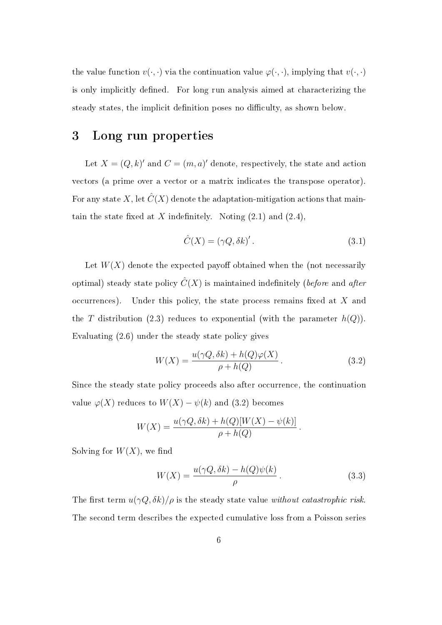the value function  $v(\cdot, \cdot)$  via the continuation value  $\varphi(\cdot, \cdot)$ , implying that  $v(\cdot, \cdot)$ is only implicitly defined. For long run analysis aimed at characterizing the steady states, the implicit definition poses no difficulty, as shown below.

## 3 Long run properties

Let  $X = (Q, k)'$  and  $C = (m, a)'$  denote, respectively, the state and action vectors (a prime over a vector or a matrix indicates the transpose operator). For any state X, let  $\hat{C}(X)$  denote the adaptation-mitigation actions that maintain the state fixed at  $X$  indefinitely. Noting  $(2.1)$  and  $(2.4)$ ,

$$
\hat{C}(X) = (\gamma Q, \delta k)'.\tag{3.1}
$$

Let  $W(X)$  denote the expected payoff obtained when the (not necessarily optimal) steady state policy  $\hat{C}(X)$  is maintained indefinitely (before and after occurrences). Under this policy, the state process remains fixed at X and the *T* distribution (2.3) reduces to exponential (with the parameter  $h(Q)$ ). Evaluating (2.6) under the steady state policy gives

$$
W(X) = \frac{u(\gamma Q, \delta k) + h(Q)\varphi(X)}{\rho + h(Q)}.
$$
\n(3.2)

Since the steady state policy proceeds also after occurrence, the continuation value  $\varphi(X)$  reduces to  $W(X) - \psi(k)$  and (3.2) becomes

$$
W(X) = \frac{u(\gamma Q,\delta k) + h(Q)[W(X) - \psi(k)]}{\rho + h(Q)}
$$

Solving for  $W(X)$ , we find

$$
W(X) = \frac{u(\gamma Q, \delta k) - h(Q)\psi(k)}{\rho}.
$$
\n(3.3)

*.*

The first term  $u(\gamma Q, \delta k)/\rho$  is the steady state value without catastrophic risk. The second term describes the expected cumulative loss from a Poisson series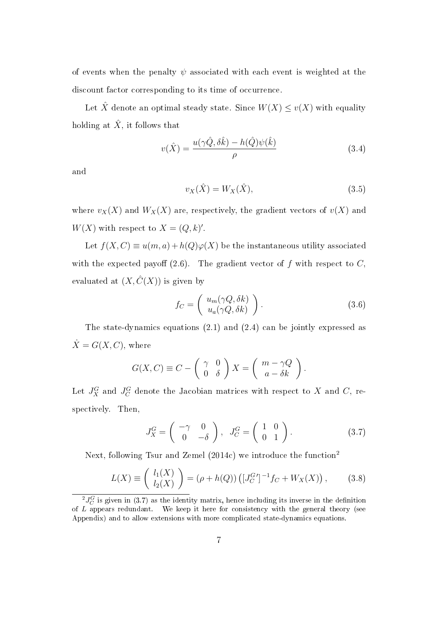of events when the penalty  $\psi$  associated with each event is weighted at the discount factor corresponding to its time of occurrence.

Let  $\hat{X}$  denote an optimal steady state. Since  $W(X) \le v(X)$  with equality holding at  $\hat{X}$ , it follows that

$$
v(\hat{X}) = \frac{u(\gamma \hat{Q}, \delta \hat{k}) - h(\hat{Q})\psi(\hat{k})}{\rho}
$$
\n(3.4)

and

$$
v_X(\hat{X}) = W_X(\hat{X}),\tag{3.5}
$$

where  $v_X(X)$  and  $W_X(X)$  are, respectively, the gradient vectors of  $v(X)$  and  $W(X)$  with respect to  $X = (Q, k)'.$ 

Let  $f(X, C) \equiv u(m, a) + h(Q)\varphi(X)$  be the instantaneous utility associated with the expected payoff  $(2.6)$ . The gradient vector of f with respect to C, evaluated at  $(X, \hat{C}(X))$  is given by

$$
f_C = \left( \begin{array}{c} u_m(\gamma Q, \delta k) \\ u_a(\gamma Q, \delta k) \end{array} \right). \tag{3.6}
$$

*.*

The state-dynamics equations (2.1) and (2.4) can be jointly expressed as  $\dot{X} = G(X, C)$ , where

$$
G(X, C) \equiv C - \left(\begin{array}{cc} \gamma & 0\\ 0 & \delta \end{array}\right) X = \left(\begin{array}{cc} m - \gamma Q\\ a - \delta k \end{array}\right)
$$

Let  $J_X^G$  and  $J_C^G$  denote the Jacobian matrices with respect to X and C, respectively. Then,

$$
J_X^G = \begin{pmatrix} -\gamma & 0 \\ 0 & -\delta \end{pmatrix}, \quad J_C^G = \begin{pmatrix} 1 & 0 \\ 0 & 1 \end{pmatrix}.
$$
 (3.7)

Next, following Tsur and Zemel (2014c) we introduce the function<sup>2</sup>

$$
L(X) \equiv \left(\begin{array}{c} l_1(X) \\ l_2(X) \end{array}\right) = (\rho + h(Q)) \left( [J_C^G']^{-1} f_C + W_X(X) \right),\tag{3.8}
$$

 $^{2}J_{C}^{G}$  is given in (3.7) as the identity matrix, hence including its inverse in the definition of *L* appears redundant. We keep it here for consistency with the general theory (see Appendix) and to allow extensions with more complicated state-dynamics equations.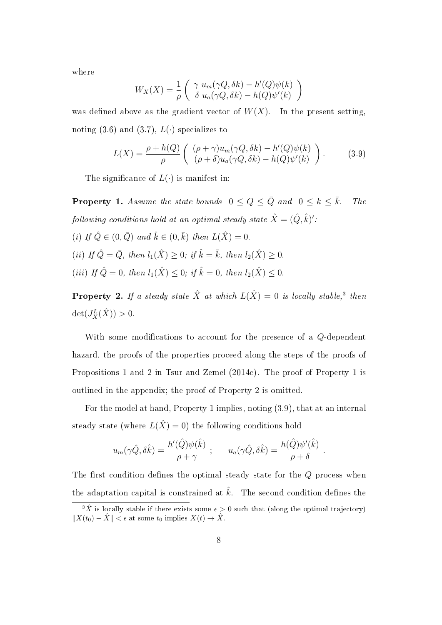where

$$
W_X(X) = \frac{1}{\rho} \begin{pmatrix} \gamma u_m(\gamma Q, \delta k) - h'(Q)\psi(k) \\ \delta u_a(\gamma Q, \delta k) - h(Q)\psi'(k) \end{pmatrix}
$$

was defined above as the gradient vector of  $W(X)$ . In the present setting, noting (3.6) and (3.7),  $L(\cdot)$  specializes to

$$
L(X) = \frac{\rho + h(Q)}{\rho} \left( \begin{array}{c} (\rho + \gamma)u_m(\gamma Q, \delta k) - h'(Q)\psi(k) \\ (\rho + \delta)u_a(\gamma Q, \delta k) - h(Q)\psi'(k) \end{array} \right). \tag{3.9}
$$

The significance of  $L(\cdot)$  is manifest in:

**Property 1.** Assume the state bounds  $0 \le Q \le \overline{Q}$  and  $0 \le k \le \overline{k}$ . The following conditions hold at an optimal steady state  $\hat{X} = (\hat{Q}, \hat{k})'$ :  $(i)$  If  $\hat{Q} \in (0, \bar{Q})$  and  $\hat{k} \in (0, \bar{k})$  then  $L(\hat{X}) = 0$ .  $(iii)$  If  $\hat{Q} = \bar{Q}$ , then  $l_1(\hat{X}) \geq 0$ ; if  $\hat{k} = \bar{k}$ , then  $l_2(\hat{X}) \geq 0$ .  $(iii)$  If  $\hat{Q} = 0$ , then  $l_1(\hat{X}) \leq 0$ ; if  $\hat{k} = 0$ , then  $l_2(\hat{X}) \leq 0$ .

**Property 2.** If a steady state  $\hat{X}$  at which  $L(\hat{X}) = 0$  is locally stable,<sup>3</sup> then  $\det(J_X^L(\hat{X})) > 0.$ 

With some modifications to account for the presence of a *Q*-dependent hazard, the proofs of the properties proceed along the steps of the proofs of Propositions 1 and 2 in Tsur and Zemel (2014c). The proof of Property 1 is outlined in the appendix; the proof of Property 2 is omitted.

For the model at hand, Property 1 implies, noting (3.9), that at an internal steady state (where  $L(\hat{X}) = 0$ ) the following conditions hold

$$
u_m(\gamma \hat{Q}, \delta \hat{k}) = \frac{h'(\hat{Q})\psi(\hat{k})}{\rho + \gamma} ; \qquad u_a(\gamma \hat{Q}, \delta \hat{k}) = \frac{h(\hat{Q})\psi'(\hat{k})}{\rho + \delta} .
$$

The first condition defines the optimal steady state for the *Q* process when the adaptation capital is constrained at  $\hat{k}$ . The second condition defines the

<sup>&</sup>lt;sup>3</sup> $\hat{X}$  is locally stable if there exists some  $\epsilon > 0$  such that (along the optimal trajectory)  $||X(t_0) - \hat{X}|| < \epsilon$  at some  $t_0$  implies  $X(t) \to \hat{X}$ .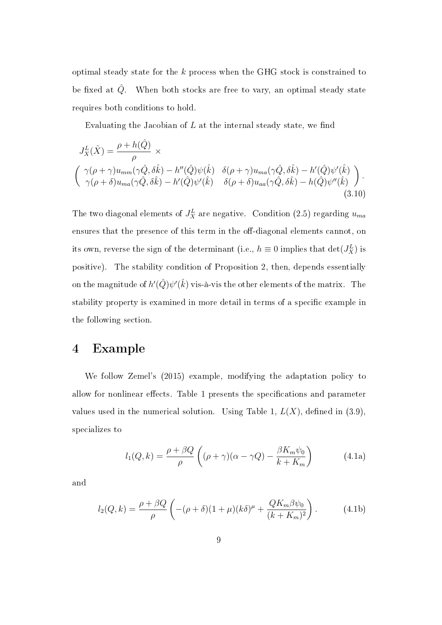optimal steady state for the *k* process when the GHG stock is constrained to be fixed at  $\hat{Q}$ . When both stocks are free to vary, an optimal steady state requires both conditions to hold.

Evaluating the Jacobian of  $L$  at the internal steady state, we find

$$
J_X^L(\hat{X}) = \frac{\rho + h(\hat{Q})}{\rho} \times \left( \gamma(\rho + \gamma) u_{mm}(\gamma \hat{Q}, \delta \hat{k}) - h''(\hat{Q}) \psi(\hat{k}) \delta(\rho + \gamma) u_{ma}(\gamma \hat{Q}, \delta \hat{k}) - h'(\hat{Q}) \psi'(\hat{k}) \right) \cdot \left( \gamma(\rho + \delta) u_{ma}(\gamma \hat{Q}, \delta \hat{k}) - h'(\hat{Q}) \psi'(\hat{k}) \delta(\rho + \delta) u_{aa}(\gamma \hat{Q}, \delta \hat{k}) - h(\hat{Q}) \psi''(\hat{k}) \right). \tag{3.10}
$$

The two diagonal elements of  $J_X^L$  are negative. Condition (2.5) regarding  $u_{ma}$ ensures that the presence of this term in the off-diagonal elements cannot, on its own, reverse the sign of the determinant (i.e.,  $h \equiv 0$  implies that  $\det(J_X^L)$  is positive). The stability condition of Proposition 2, then, depends essentially on the magnitude of  $h'(\hat{Q})\psi'(\hat{k})$  vis-à-vis the other elements of the matrix. The stability property is examined in more detail in terms of a specific example in the following section.

### 4 Example

We follow Zemel's (2015) example, modifying the adaptation policy to allow for nonlinear effects. Table 1 presents the specifications and parameter values used in the numerical solution. Using Table 1,  $L(X)$ , defined in (3.9), specializes to

$$
l_1(Q,k) = \frac{\rho + \beta Q}{\rho} \left( (\rho + \gamma)(\alpha - \gamma Q) - \frac{\beta K_m \psi_0}{k + K_m} \right) \tag{4.1a}
$$

and

$$
l_2(Q,k) = \frac{\rho + \beta Q}{\rho} \left( -(\rho + \delta)(1+\mu)(k\delta)^{\mu} + \frac{QK_m \beta \psi_0}{(k+K_m)^2} \right). \tag{4.1b}
$$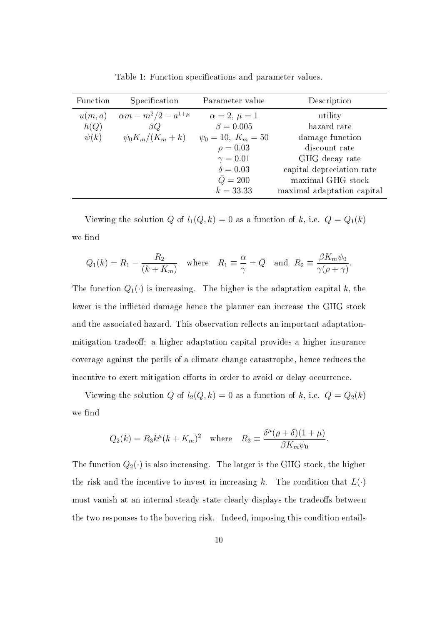| Function  | Specification                  | Parameter value         | Description                |
|-----------|--------------------------------|-------------------------|----------------------------|
| u(m,a)    | $\alpha m - m^2/2 - a^{1+\mu}$ | $\alpha=2, \mu=1$       | utility                    |
| h(Q)      | BQ.                            | $\beta = 0.005$         | hazard rate                |
| $\psi(k)$ | $\psi_0 K_m/(K_m+k)$           | $\psi_0 = 10, K_m = 50$ | damage function            |
|           |                                | $\rho = 0.03$           | discount rate              |
|           |                                | $\gamma = 0.01$         | GHG decay rate             |
|           |                                | $\delta = 0.03$         | capital depreciation rate  |
|           |                                | $\overline{Q} = 200$    | maximal GHG stock          |
|           |                                | $\bar{k} = 33.33$       | maximal adaptation capital |

Table 1: Function specifications and parameter values.

Viewing the solution *Q* of  $l_1(Q, k) = 0$  as a function of *k*, i.e.  $Q = Q_1(k)$ we find

$$
Q_1(k) = R_1 - \frac{R_2}{(k + K_m)}
$$
 where  $R_1 \equiv \frac{\alpha}{\gamma} = \bar{Q}$  and  $R_2 \equiv \frac{\beta K_m \psi_0}{\gamma (\rho + \gamma)}$ .

The function  $Q_1(\cdot)$  is increasing. The higher is the adaptation capital  $k$ , the lower is the inflicted damage hence the planner can increase the GHG stock and the associated hazard. This observation reflects an important adaptationmitigation tradeoff: a higher adaptation capital provides a higher insurance coverage against the perils of a climate change catastrophe, hence reduces the incentive to exert mitigation efforts in order to avoid or delay occurrence.

Viewing the solution *Q* of  $l_2(Q, k) = 0$  as a function of *k*, i.e.  $Q = Q_2(k)$ we find

$$
Q_2(k) = R_3 k^{\mu} (k + K_m)^2 \quad \text{where} \quad R_3 \equiv \frac{\delta^{\mu} (\rho + \delta)(1 + \mu)}{\beta K_m \psi_0}.
$$

The function  $Q_2(\cdot)$  is also increasing. The larger is the GHG stock, the higher the risk and the incentive to invest in increasing  $k$ . The condition that  $L(\cdot)$ must vanish at an internal steady state clearly displays the tradeoffs between the two responses to the hovering risk. Indeed, imposing this condition entails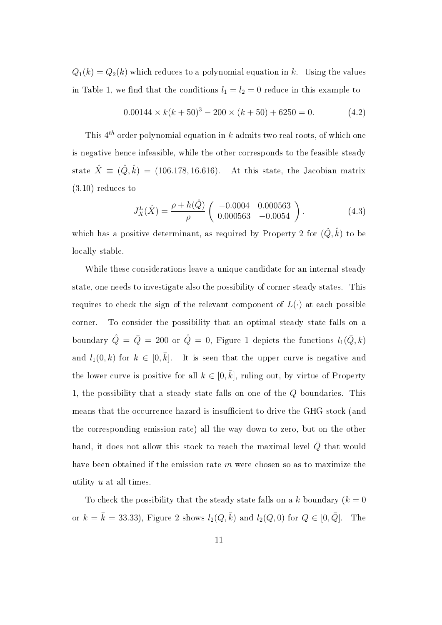$Q_1(k) = Q_2(k)$  which reduces to a polynomial equation in *k*. Using the values in Table 1, we find that the conditions  $l_1 = l_2 = 0$  reduce in this example to

$$
0.00144 \times k(k+50)^3 - 200 \times (k+50) + 6250 = 0. \tag{4.2}
$$

This 4 *th* order polynomial equation in *k* admits two real roots, of which one is negative hence infeasible, while the other corresponds to the feasible steady state  $\hat{X} \equiv (\hat{Q}, \hat{k}) = (106.178, 16.616)$ . At this state, the Jacobian matrix (3.10) reduces to

$$
J_X^L(\hat{X}) = \frac{\rho + h(\hat{Q})}{\rho} \begin{pmatrix} -0.0004 & 0.000563 \\ 0.000563 & -0.0054 \end{pmatrix}.
$$
 (4.3)

which has a positive determinant, as required by Property 2 for  $(\hat{Q}, \hat{k})$  to be locally stable.

While these considerations leave a unique candidate for an internal steady state, one needs to investigate also the possibility of corner steady states. This requires to check the sign of the relevant component of  $L(\cdot)$  at each possible corner. To consider the possibility that an optimal steady state falls on a boundary  $\hat{Q} = \bar{Q} = 200$  or  $\hat{Q} = 0$ , Figure 1 depicts the functions  $l_1(\bar{Q}, k)$ and  $l_1(0,k)$  for  $k \in [0,\overline{k}]$ . It is seen that the upper curve is negative and the lower curve is positive for all  $k \in [0, \bar{k}]$ , ruling out, by virtue of Property 1, the possibility that a steady state falls on one of the *Q* boundaries. This means that the occurrence hazard is insufficient to drive the GHG stock (and the corresponding emission rate) all the way down to zero, but on the other hand, it does not allow this stock to reach the maximal level  $\overline{Q}$  that would have been obtained if the emission rate *m* were chosen so as to maximize the utility *u* at all times.

To check the possibility that the steady state falls on a *k* boundary  $(k = 0)$ or  $k = \bar{k} = 33.33$ , Figure 2 shows  $l_2(Q, \bar{k})$  and  $l_2(Q, 0)$  for  $Q \in [0, \bar{Q}]$ . The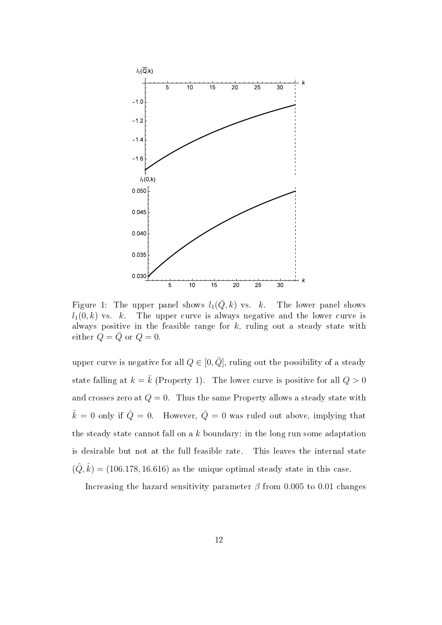

Figure 1: The upper panel shows  $l_1(\overline{Q}, k)$  vs. *k*. The lower panel shows  $l_1(0,k)$  vs. *k*. The upper curve is always negative and the lower curve is always positive in the feasible range for *k*, ruling out a steady state with either  $Q = \overline{Q}$  or  $Q = 0$ .

upper curve is negative for all  $Q \in [0, \overline{Q}]$ , ruling out the possibility of a steady state falling at  $k = \bar{k}$  (Property 1). The lower curve is positive for all  $Q > 0$ and crosses zero at  $Q = 0$ . Thus the same Property allows a steady state with  $\hat{k} = 0$  only if  $\hat{Q} = 0$ . However,  $\hat{Q} = 0$  was ruled out above, implying that the steady state cannot fall on a *k* boundary: in the long run some adaptation is desirable but not at the full feasible rate. This leaves the internal state  $(\hat{Q}, \hat{k}) = (106.178, 16.616)$  as the unique optimal steady state in this case.

Increasing the hazard sensitivity parameter  $\beta$  from 0.005 to 0.01 changes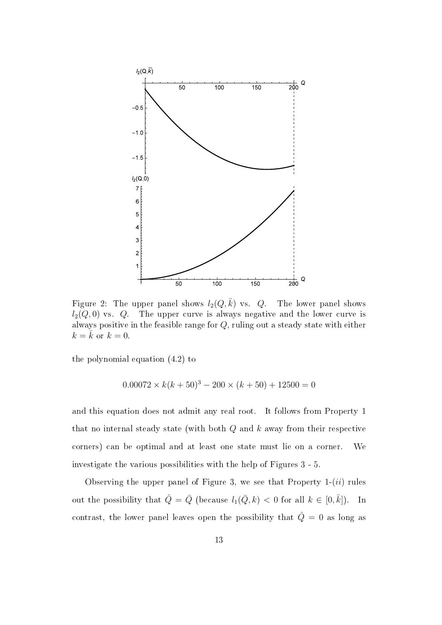

Figure 2: The upper panel shows  $l_2(Q,\bar{k})$  vs. *Q*. The lower panel shows  $l_2(Q,0)$  vs.  $Q$ . The upper curve is always negative and the lower curve is always positive in the feasible range for *Q*, ruling out a steady state with either  $k = k$  or  $k = 0$ .

the polynomial equation (4.2) to

$$
0.00072 \times k(k+50)^3 - 200 \times (k+50) + 12500 = 0
$$

and this equation does not admit any real root. It follows from Property 1 that no internal steady state (with both *Q* and *k* away from their respective corners) can be optimal and at least one state must lie on a corner. We investigate the various possibilities with the help of Figures 3 - 5.

Observing the upper panel of Figure 3, we see that Property 1-(*ii*) rules out the possibility that  $\hat{Q} = \bar{Q}$  (because  $l_1(\bar{Q}, k) < 0$  for all  $k \in [0, \bar{k}]$ ). In contrast, the lower panel leaves open the possibility that  $\hat{Q} = 0$  as long as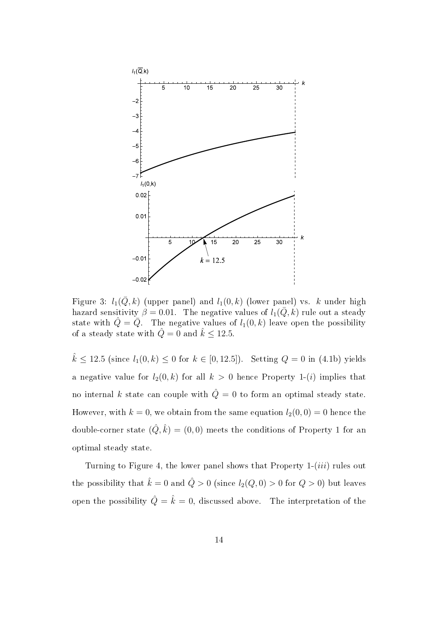

Figure 3:  $l_1(\bar{Q}, k)$  (upper panel) and  $l_1(0, k)$  (lower panel) vs. *k* under high hazard sensitivity  $\beta = 0.01$ . The negative values of  $l_1(\bar{Q}, k)$  rule out a steady state with  $\hat{Q} = \bar{Q}$ . The negative values of  $l_1(0, k)$  leave open the possibility of a steady state with  $\hat{Q} = 0$  and  $\hat{k} \le 12.5$ .

 $\hat{k}$  ≤ 12*.*5 (since  $l_1(0,k)$  ≤ 0 for  $k \in [0,12.5]$ ). Setting  $Q = 0$  in (4.1b) yields a negative value for  $l_2(0, k)$  for all  $k > 0$  hence Property 1-(*i*) implies that no internal *k* state can couple with  $\hat{Q} = 0$  to form an optimal steady state. However, with  $k = 0$ , we obtain from the same equation  $l_2(0,0) = 0$  hence the double-corner state  $(\hat{Q}, \hat{k}) = (0, 0)$  meets the conditions of Property 1 for an optimal steady state.

Turning to Figure 4, the lower panel shows that Property 1-(*iii*) rules out the possibility that  $\hat{k} = 0$  and  $\hat{Q} > 0$  (since  $l_2(Q, 0) > 0$  for  $Q > 0$ ) but leaves open the possibility  $\hat{Q} = \hat{k} = 0$ , discussed above. The interpretation of the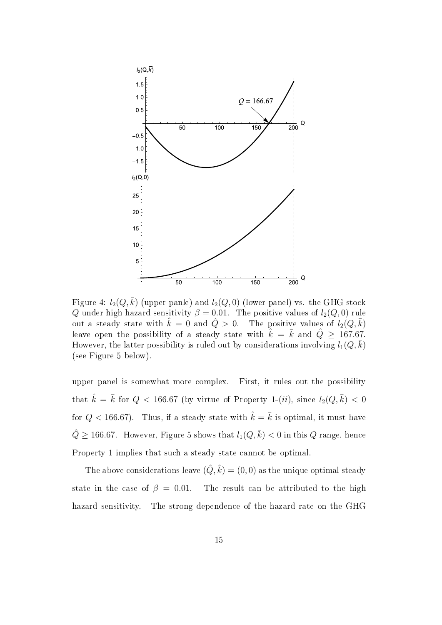

Figure 4:  $l_2(Q,\bar{k})$  (upper panle) and  $l_2(Q,0)$  (lower panel) vs. the GHG stock *Q* under high hazard sensitivity  $\beta = 0.01$ . The positive values of  $l_2(Q, 0)$  rule out a steady state with  $\hat{k} = 0$  and  $\hat{Q} > 0$ . The positive values of  $l_2(Q, \bar{k})$ leave open the possibility of a steady state with  $\hat{k} = \bar{k}$  and  $\hat{Q} \ge 167.67$ . However, the latter possibility is ruled out by considerations involving  $l_1(Q,\bar{k})$ (see Figure 5 below).

upper panel is somewhat more complex. First, it rules out the possibility that  $\hat{k} = \bar{k}$  for  $Q < 166.67$  (by virtue of Property 1-(*ii*), since  $l_2(Q, \bar{k}) < 0$ for  $Q < 166.67$ ). Thus, if a steady state with  $\hat{k} = \bar{k}$  is optimal, it must have  $\hat{Q} \ge 166.67$ . However, Figure 5 shows that  $l_1(Q,\bar{k}) < 0$  in this  $Q$  range, hence Property 1 implies that such a steady state cannot be optimal.

The above considerations leave  $(\hat{Q}, \hat{k}) = (0, 0)$  as the unique optimal steady state in the case of  $\beta = 0.01$ . The result can be attributed to the high hazard sensitivity. The strong dependence of the hazard rate on the GHG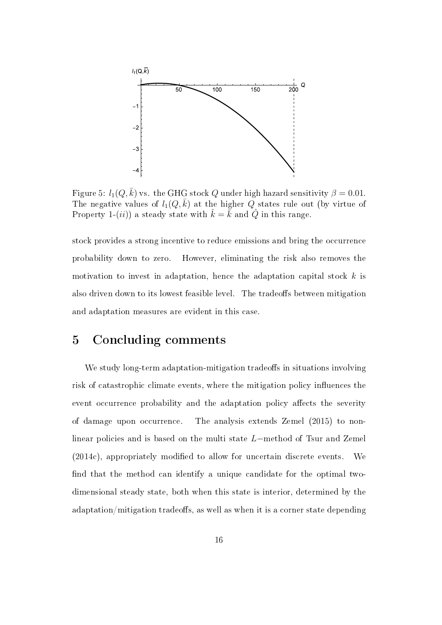

Figure 5:  $l_1(Q,\bar{k})$  vs. the GHG stock *Q* under high hazard sensitivity  $\beta = 0.01$ . The negative values of  $l_1(Q,\bar{k})$  at the higher Q states rule out (by virtue of Property 1-(*ii*)) a steady state with  $\overline{k} = \overline{k}$  and  $\overline{Q}$  in this range.

stock provides a strong incentive to reduce emissions and bring the occurrence probability down to zero. However, eliminating the risk also removes the motivation to invest in adaptation, hence the adaptation capital stock *k* is also driven down to its lowest feasible level. The tradeoffs between mitigation and adaptation measures are evident in this case.

### 5 Concluding comments

We study long-term adaptation-mitigation tradeoffs in situations involving risk of catastrophic climate events, where the mitigation policy influences the event occurrence probability and the adaptation policy affects the severity of damage upon occurrence. The analysis extends Zemel (2015) to nonlinear policies and is based on the multi state *L−*method of Tsur and Zemel  $(2014c)$ , appropriately modified to allow for uncertain discrete events. We find that the method can identify a unique candidate for the optimal twodimensional steady state, both when this state is interior, determined by the adaptation/mitigation tradeoffs, as well as when it is a corner state depending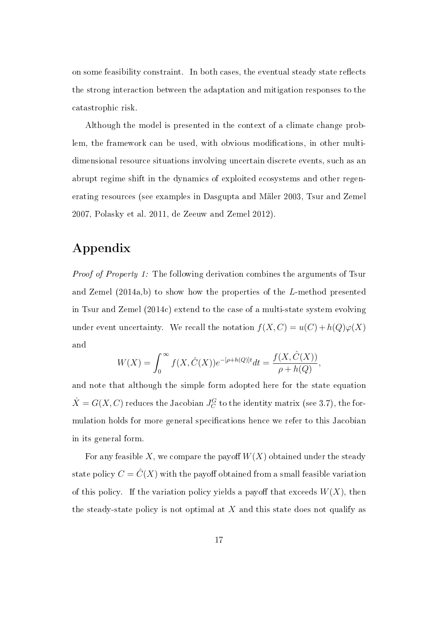on some feasibility constraint. In both cases, the eventual steady state reflects the strong interaction between the adaptation and mitigation responses to the catastrophic risk.

Although the model is presented in the context of a climate change problem, the framework can be used, with obvious modifications, in other multidimensional resource situations involving uncertain discrete events, such as an abrupt regime shift in the dynamics of exploited ecosystems and other regenerating resources (see examples in Dasgupta and Mäler 2003, Tsur and Zemel 2007, Polasky et al. 2011, de Zeeuw and Zemel 2012).

# Appendix

Proof of Property 1: The following derivation combines the arguments of Tsur and Zemel (2014a,b) to show how the properties of the *L*-method presented in Tsur and Zemel (2014c) extend to the case of a multi-state system evolving under event uncertainty. We recall the notation  $f(X, C) = u(C) + h(Q)\varphi(X)$ and

$$
W(X) = \int_0^\infty f(X, \hat{C}(X)) e^{-[\rho + h(Q)]t} dt = \frac{f(X, \hat{C}(X))}{\rho + h(Q)},
$$

and note that although the simple form adopted here for the state equation  $\dot{X} = G(X, C)$  reduces the Jacobian  $J_C^G$  to the identity matrix (see 3.7), the formulation holds for more general specifications hence we refer to this Jacobian in its general form.

For any feasible X, we compare the payoff  $W(X)$  obtained under the steady state policy  $C = \hat{C}(X)$  with the payoff obtained from a small feasible variation of this policy. If the variation policy yields a payoff that exceeds  $W(X)$ , then the steady-state policy is not optimal at *X* and this state does not qualify as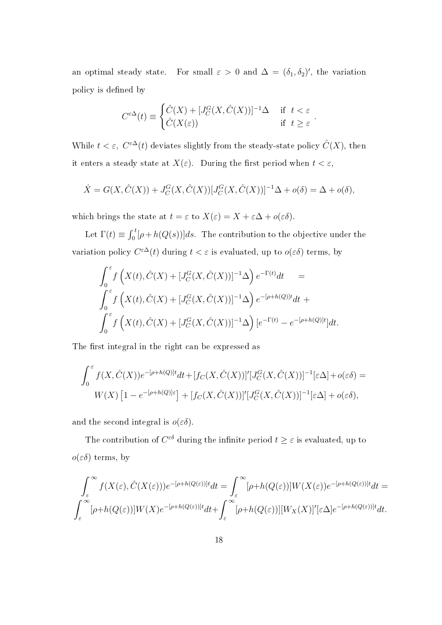an optimal steady state. For small  $\varepsilon > 0$  and  $\Delta = (\delta_1, \delta_2)'$ , the variation policy is defined by

$$
C^{\varepsilon \Delta}(t) \equiv \begin{cases} \hat{C}(X) + [J_C^G(X, \hat{C}(X))]^{-1} \Delta & \text{if } t < \varepsilon \\ \hat{C}(X(\varepsilon)) & \text{if } t \ge \varepsilon \end{cases}.
$$

While  $t < \varepsilon$ ,  $C^{\varepsilon \Delta}(t)$  deviates slightly from the steady-state policy  $\hat{C}(X)$ , then it enters a steady state at  $X(\varepsilon)$ . During the first period when  $t < \varepsilon$ ,

$$
\dot{X} = G(X, \hat{C}(X)) + J_C^G(X, \hat{C}(X))[J_C^G(X, \hat{C}(X))]^{-1}\Delta + o(\delta) = \Delta + o(\delta),
$$

which brings the state at  $t = \varepsilon$  to  $X(\varepsilon) = X + \varepsilon \Delta + o(\varepsilon \delta)$ .

Let  $\Gamma(t) \equiv \int_0^t [\rho + h(Q(s))]ds$ . The contribution to the objective under the variation policy  $C^{\epsilon\Delta}(t)$  during  $t < \epsilon$  is evaluated, up to  $o(\epsilon\delta)$  terms, by

$$
\int_{0}^{\varepsilon} f\left(X(t), \hat{C}(X) + [J_{C}^{G}(X, \hat{C}(X))]^{-1} \Delta\right) e^{-\Gamma(t)} dt =
$$
\n
$$
\int_{0}^{\varepsilon} f\left(X(t), \hat{C}(X) + [J_{C}^{G}(X, \hat{C}(X))]^{-1} \Delta\right) e^{-[\rho + h(Q)]t} dt +
$$
\n
$$
\int_{0}^{\varepsilon} f\left(X(t), \hat{C}(X) + [J_{C}^{G}(X, \hat{C}(X))]^{-1} \Delta\right) [e^{-\Gamma(t)} - e^{-[\rho + h(Q)]t}] dt.
$$

The first integral in the right can be expressed as

$$
\int_0^{\varepsilon} f(X, \hat{C}(X))e^{-[\rho+h(Q)]t}dt + [f_C(X, \hat{C}(X))]'[J_C^G(X, \hat{C}(X))]^{-1}[\varepsilon\Delta] + o(\varepsilon\delta) =
$$
  
 
$$
W(X) [1 - e^{-[\rho+h(Q)]\varepsilon}] + [f_C(X, \hat{C}(X))]'[J_C^G(X, \hat{C}(X))]^{-1}[\varepsilon\Delta] + o(\varepsilon\delta),
$$

and the second integral is  $o(\varepsilon\delta)$ .

The contribution of  $C^{\epsilon \delta}$  during the infinite period  $t \geq \varepsilon$  is evaluated, up to *o*(*εδ*) terms, by

$$
\int_{\varepsilon}^{\infty} f(X(\varepsilon), \hat{C}(X(\varepsilon))) e^{-[\rho + h(Q(\varepsilon))]t} dt = \int_{\varepsilon}^{\infty} [\rho + h(Q(\varepsilon))] W(X(\varepsilon)) e^{-[\rho + h(Q(\varepsilon))]t} dt =
$$
  

$$
\int_{\varepsilon}^{\infty} [\rho + h(Q(\varepsilon))] W(X) e^{-[\rho + h(Q(\varepsilon))]t} dt + \int_{\varepsilon}^{\infty} [\rho + h(Q(\varepsilon))][W_X(X)]'[\varepsilon \Delta] e^{-[\rho + h(Q(\varepsilon))]t} dt.
$$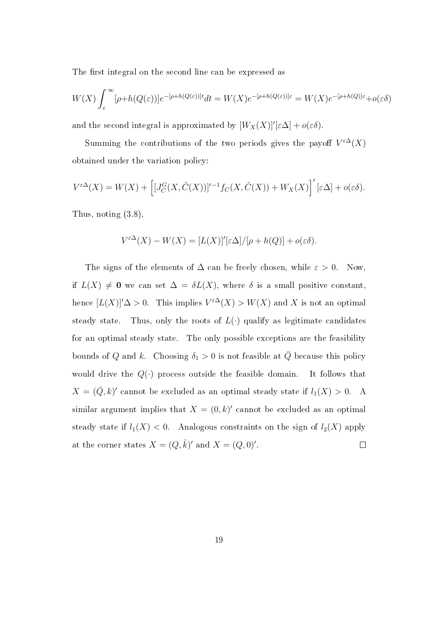The first integral on the second line can be expressed as

$$
W(X)\int_{\varepsilon}^{\infty}[\rho+h(Q(\varepsilon))]e^{-[\rho+h(Q(\varepsilon))]t}dt = W(X)e^{-[\rho+h(Q(\varepsilon))] \varepsilon} = W(X)e^{-[\rho+h(Q)] \varepsilon} + o(\varepsilon\delta)
$$

and the second integral is approximated by  $[W_X(X)]'[\epsilon\Delta] + o(\epsilon\delta)$ .

Summing the contributions of the two periods gives the payoff  $V^{\epsilon\Delta}(X)$ obtained under the variation policy:

$$
V^{\varepsilon\Delta}(X) = W(X) + \left[ [J_C^G(X, \hat{C}(X))]^{r-1} f_C(X, \hat{C}(X)) + W_X(X) \right]' [\varepsilon\Delta] + o(\varepsilon\delta).
$$

Thus, noting (3.8),

$$
V^{\varepsilon \Delta}(X) - W(X) = [L(X)]'[\varepsilon \Delta]/[\rho + h(Q)] + o(\varepsilon \delta).
$$

The signs of the elements of  $\Delta$  can be freely chosen, while  $\varepsilon > 0$ . Now, if  $L(X) \neq 0$  we can set  $\Delta = \delta L(X)$ , where  $\delta$  is a small positive constant, hence  $[L(X)]' \Delta > 0$ . This implies  $V^{\epsilon\Delta}(X) > W(X)$  and X is not an optimal steady state. Thus, only the roots of  $L(\cdot)$  qualify as legitimate candidates for an optimal steady state. The only possible exceptions are the feasibility bounds of *Q* and *k*. Choosing  $\delta_1 > 0$  is not feasible at  $\overline{Q}$  because this policy would drive the  $Q(\cdot)$  process outside the feasible domain. It follows that  $X = (\bar{Q}, k)'$  cannot be excluded as an optimal steady state if  $l_1(X) > 0$ . A similar argument implies that  $X = (0, k)'$  cannot be excluded as an optimal steady state if  $l_1(X) < 0$ . Analogous constraints on the sign of  $l_2(X)$  apply at the corner states  $X = (Q, \bar{k})'$  and  $X = (Q, 0)'$ .  $\Box$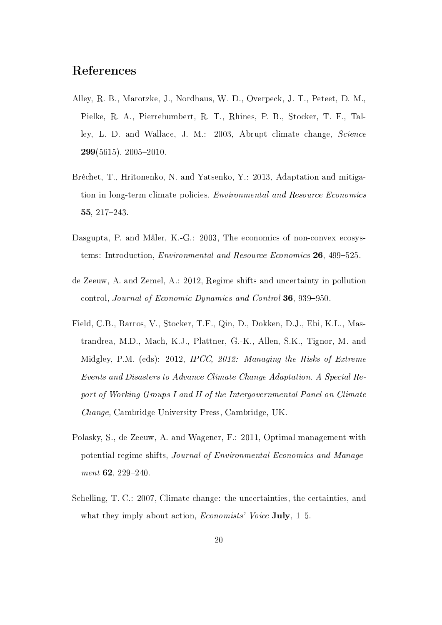## References

- Alley, R. B., Marotzke, J., Nordhaus, W. D., Overpeck, J. T., Peteet, D. M., Pielke, R. A., Pierrehumbert, R. T., Rhines, P. B., Stocker, T. F., Talley, L. D. and Wallace, J. M.: 2003, Abrupt climate change, Science  $299(5615)$ ,  $2005-2010$
- Bréchet, T., Hritonenko, N. and Yatsenko, Y.: 2013, Adaptation and mitigation in long-term climate policies. Environmental and Resource Economics 55,  $217 - 243$ .
- Dasgupta, P. and Mäler, K.-G.: 2003, The economics of non-convex ecosystems: Introduction, *Environmental and Resource Economics* 26, 499-525.
- de Zeeuw, A. and Zemel, A.: 2012, Regime shifts and uncertainty in pollution control, Journal of Economic Dynamics and Control 36, 939–950.
- Field, C.B., Barros, V., Stocker, T.F., Qin, D., Dokken, D.J., Ebi, K.L., Mastrandrea, M.D., Mach, K.J., Plattner, G.-K., Allen, S.K., Tignor, M. and Midgley, P.M. (eds): 2012, IPCC, 2012: Managing the Risks of Extreme Events and Disasters to Advance Climate Change Adaptation. A Special Report of Working Groups I and II of the Intergovernmental Panel on Climate Change, Cambridge University Press, Cambridge, UK.
- Polasky, S., de Zeeuw, A. and Wagener, F.: 2011, Optimal management with potential regime shifts, Journal of Environmental Economics and Manage $ment$  62, 229-240.
- Schelling, T. C.: 2007, Climate change: the uncertainties, the certainties, and what they imply about action, *Economists' Voice* July,  $1-5$ .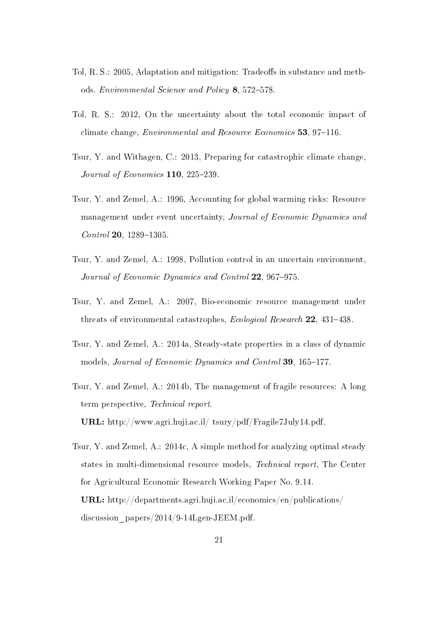- Tol, R. S.: 2005, Adaptation and mitigation: Tradeoffs in substance and methods. Environmental Science and Policy 8, 572-578.
- Tol, R. S.: 2012, On the uncertainty about the total economic impact of climate change, *Environmental and Resource Economics* 53, 97–116.
- Tsur, Y. and Withagen, C.: 2013, Preparing for catastrophic climate change, Journal of Economics  $110$ ,  $225-239$ .
- Tsur, Y. and Zemel, A.: 1996, Accounting for global warming risks: Resource management under event uncertainty, Journal of Economic Dynamics and  $Control$  20, 1289-1305.
- Tsur, Y. and Zemel, A.: 1998, Pollution control in an uncertain environment, Journal of Economic Dynamics and Control 22, 967-975.
- Tsur, Y. and Zemel, A.: 2007, Bio-economic resource management under threats of environmental catastrophes, *Ecological Research* 22, 431-438.
- Tsur, Y. and Zemel, A.: 2014a, Steady-state properties in a class of dynamic models, *Journal of Economic Dynamics and Control* 39, 165–177.
- Tsur, Y. and Zemel, A.: 2014b, The management of fragile resources: A long term perspective, Technical report. URL: http://www.agri.huji.ac.il/ tsury/pdf/Fragile7July14.pdf.
- Tsur, Y. and Zemel, A.: 2014c, A simple method for analyzing optimal steady states in multi-dimensional resource models, Technical report, The Center for Agricultural Economic Research Working Paper No. 9.14. URL: http://departments.agri.huji.ac.il/economics/en/publications/ discussion papers/2014/9-14Lgen-JEEM.pdf.